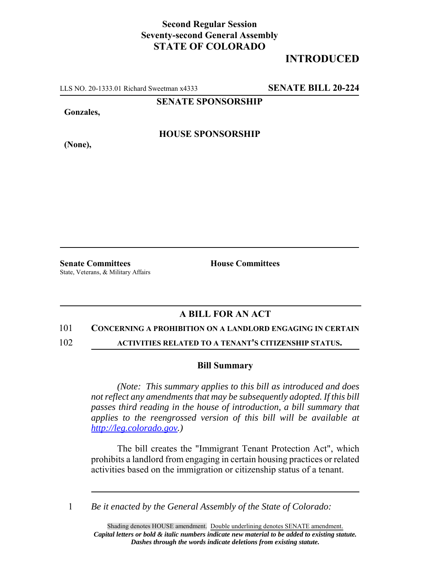## **Second Regular Session Seventy-second General Assembly STATE OF COLORADO**

# **INTRODUCED**

LLS NO. 20-1333.01 Richard Sweetman x4333 **SENATE BILL 20-224**

**SENATE SPONSORSHIP**

**Gonzales,**

**HOUSE SPONSORSHIP**

**(None),**

**Senate Committees House Committees** State, Veterans, & Military Affairs

### **A BILL FOR AN ACT**

#### 101 **CONCERNING A PROHIBITION ON A LANDLORD ENGAGING IN CERTAIN**

102 **ACTIVITIES RELATED TO A TENANT'S CITIZENSHIP STATUS.**

#### **Bill Summary**

*(Note: This summary applies to this bill as introduced and does not reflect any amendments that may be subsequently adopted. If this bill passes third reading in the house of introduction, a bill summary that applies to the reengrossed version of this bill will be available at http://leg.colorado.gov.)*

The bill creates the "Immigrant Tenant Protection Act", which prohibits a landlord from engaging in certain housing practices or related activities based on the immigration or citizenship status of a tenant.

1 *Be it enacted by the General Assembly of the State of Colorado:*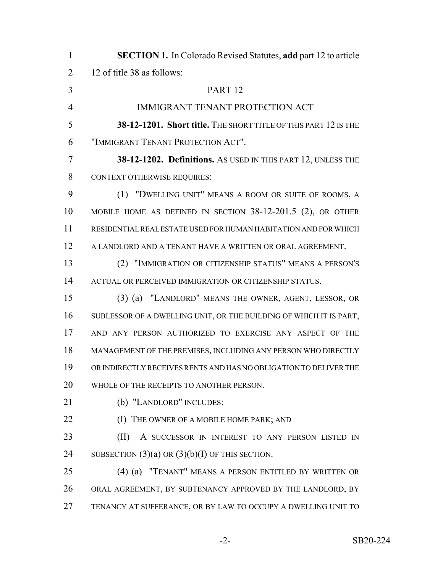| $\mathbf{1}$   | <b>SECTION 1.</b> In Colorado Revised Statutes, add part 12 to article |
|----------------|------------------------------------------------------------------------|
| $\overline{2}$ | 12 of title 38 as follows:                                             |
| 3              | PART <sub>12</sub>                                                     |
| $\overline{4}$ | <b>IMMIGRANT TENANT PROTECTION ACT</b>                                 |
| 5              | 38-12-1201. Short title. THE SHORT TITLE OF THIS PART 12 IS THE        |
| 6              | "IMMIGRANT TENANT PROTECTION ACT".                                     |
| 7              | 38-12-1202. Definitions. As USED IN THIS PART 12, UNLESS THE           |
| 8              | <b>CONTEXT OTHERWISE REQUIRES:</b>                                     |
| 9              | (1) "DWELLING UNIT" MEANS A ROOM OR SUITE OF ROOMS, A                  |
| 10             | MOBILE HOME AS DEFINED IN SECTION 38-12-201.5 (2), OR OTHER            |
| 11             | RESIDENTIAL REAL ESTATE USED FOR HUMAN HABITATION AND FOR WHICH        |
| 12             | A LANDLORD AND A TENANT HAVE A WRITTEN OR ORAL AGREEMENT.              |
| 13             | (2) "IMMIGRATION OR CITIZENSHIP STATUS" MEANS A PERSON'S               |
| 14             | ACTUAL OR PERCEIVED IMMIGRATION OR CITIZENSHIP STATUS.                 |
| 15             | (3) (a) "LANDLORD" MEANS THE OWNER, AGENT, LESSOR, OR                  |
| 16             | SUBLESSOR OF A DWELLING UNIT, OR THE BUILDING OF WHICH IT IS PART,     |
| 17             | AND ANY PERSON AUTHORIZED TO EXERCISE ANY ASPECT OF THE                |
| 18             | MANAGEMENT OF THE PREMISES, INCLUDING ANY PERSON WHO DIRECTLY          |
| 19             | OR INDIRECTLY RECEIVES RENTS AND HAS NO OBLIGATION TO DELIVER THE      |
| 20             | WHOLE OF THE RECEIPTS TO ANOTHER PERSON.                               |
| 21             | (b) "LANDLORD" INCLUDES:                                               |
| 22             | (I) THE OWNER OF A MOBILE HOME PARK; AND                               |
| 23             | (II)<br>A SUCCESSOR IN INTEREST TO ANY PERSON LISTED IN                |
| 24             | SUBSECTION $(3)(a)$ OR $(3)(b)(I)$ OF THIS SECTION.                    |
| 25             | "TENANT" MEANS A PERSON ENTITLED BY WRITTEN OR<br>$(4)$ (a)            |
| 26             | ORAL AGREEMENT, BY SUBTENANCY APPROVED BY THE LANDLORD, BY             |
| 27             | TENANCY AT SUFFERANCE, OR BY LAW TO OCCUPY A DWELLING UNIT TO          |
|                |                                                                        |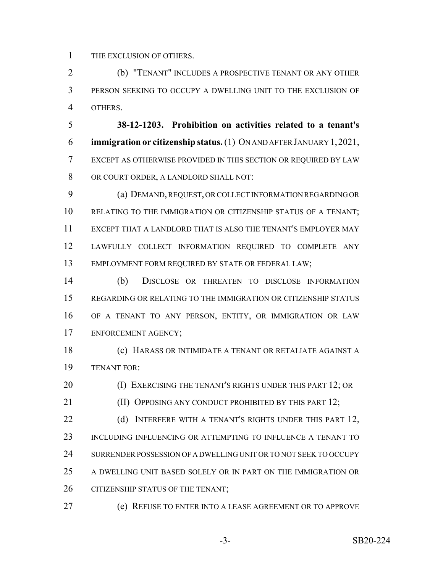THE EXCLUSION OF OTHERS.

 (b) "TENANT" INCLUDES A PROSPECTIVE TENANT OR ANY OTHER PERSON SEEKING TO OCCUPY A DWELLING UNIT TO THE EXCLUSION OF OTHERS.

 **38-12-1203. Prohibition on activities related to a tenant's immigration or citizenship status.** (1) ON AND AFTER JANUARY 1,2021, EXCEPT AS OTHERWISE PROVIDED IN THIS SECTION OR REQUIRED BY LAW OR COURT ORDER, A LANDLORD SHALL NOT:

 (a) DEMAND, REQUEST, OR COLLECT INFORMATION REGARDING OR RELATING TO THE IMMIGRATION OR CITIZENSHIP STATUS OF A TENANT; EXCEPT THAT A LANDLORD THAT IS ALSO THE TENANT'S EMPLOYER MAY LAWFULLY COLLECT INFORMATION REQUIRED TO COMPLETE ANY EMPLOYMENT FORM REQUIRED BY STATE OR FEDERAL LAW;

 (b) DISCLOSE OR THREATEN TO DISCLOSE INFORMATION REGARDING OR RELATING TO THE IMMIGRATION OR CITIZENSHIP STATUS OF A TENANT TO ANY PERSON, ENTITY, OR IMMIGRATION OR LAW ENFORCEMENT AGENCY;

 (c) HARASS OR INTIMIDATE A TENANT OR RETALIATE AGAINST A TENANT FOR:

**(I) EXERCISING THE TENANT'S RIGHTS UNDER THIS PART 12; OR** 

**(II) OPPOSING ANY CONDUCT PROHIBITED BY THIS PART 12;** 

22 (d) INTERFERE WITH A TENANT'S RIGHTS UNDER THIS PART 12, INCLUDING INFLUENCING OR ATTEMPTING TO INFLUENCE A TENANT TO SURRENDER POSSESSION OF A DWELLING UNIT OR TO NOT SEEK TO OCCUPY A DWELLING UNIT BASED SOLELY OR IN PART ON THE IMMIGRATION OR 26 CITIZENSHIP STATUS OF THE TENANT;

(e) REFUSE TO ENTER INTO A LEASE AGREEMENT OR TO APPROVE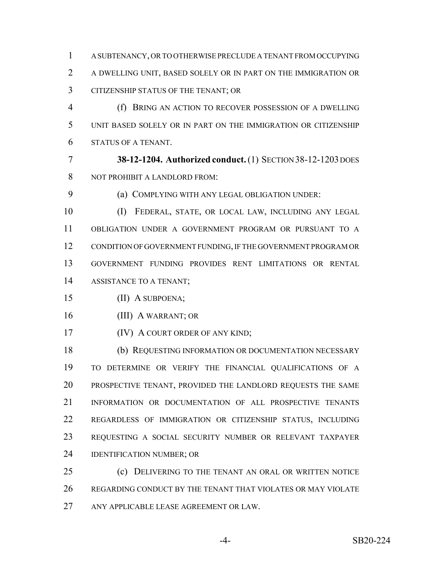A SUBTENANCY, OR TO OTHERWISE PRECLUDE A TENANT FROM OCCUPYING A DWELLING UNIT, BASED SOLELY OR IN PART ON THE IMMIGRATION OR CITIZENSHIP STATUS OF THE TENANT; OR

 (f) BRING AN ACTION TO RECOVER POSSESSION OF A DWELLING UNIT BASED SOLELY OR IN PART ON THE IMMIGRATION OR CITIZENSHIP STATUS OF A TENANT.

 **38-12-1204. Authorized conduct.** (1) SECTION 38-12-1203 DOES NOT PROHIBIT A LANDLORD FROM:

(a) COMPLYING WITH ANY LEGAL OBLIGATION UNDER:

 (I) FEDERAL, STATE, OR LOCAL LAW, INCLUDING ANY LEGAL OBLIGATION UNDER A GOVERNMENT PROGRAM OR PURSUANT TO A CONDITION OF GOVERNMENT FUNDING, IF THE GOVERNMENT PROGRAM OR GOVERNMENT FUNDING PROVIDES RENT LIMITATIONS OR RENTAL ASSISTANCE TO A TENANT;

(II) A SUBPOENA;

(III) A WARRANT; OR

**(IV) A COURT ORDER OF ANY KIND;** 

 (b) REQUESTING INFORMATION OR DOCUMENTATION NECESSARY TO DETERMINE OR VERIFY THE FINANCIAL QUALIFICATIONS OF A PROSPECTIVE TENANT, PROVIDED THE LANDLORD REQUESTS THE SAME INFORMATION OR DOCUMENTATION OF ALL PROSPECTIVE TENANTS REGARDLESS OF IMMIGRATION OR CITIZENSHIP STATUS, INCLUDING REQUESTING A SOCIAL SECURITY NUMBER OR RELEVANT TAXPAYER IDENTIFICATION NUMBER; OR

 (c) DELIVERING TO THE TENANT AN ORAL OR WRITTEN NOTICE REGARDING CONDUCT BY THE TENANT THAT VIOLATES OR MAY VIOLATE ANY APPLICABLE LEASE AGREEMENT OR LAW.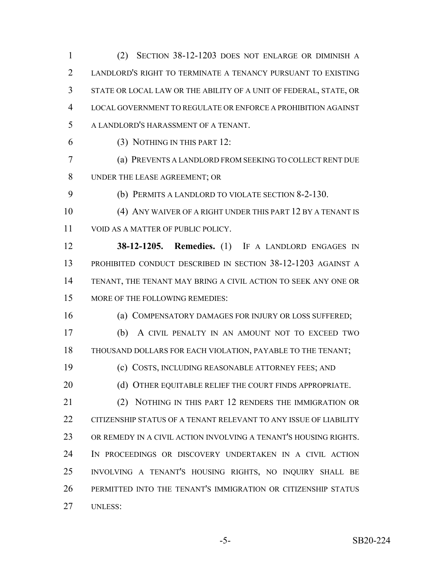(2) SECTION 38-12-1203 DOES NOT ENLARGE OR DIMINISH A LANDLORD'S RIGHT TO TERMINATE A TENANCY PURSUANT TO EXISTING STATE OR LOCAL LAW OR THE ABILITY OF A UNIT OF FEDERAL, STATE, OR LOCAL GOVERNMENT TO REGULATE OR ENFORCE A PROHIBITION AGAINST A LANDLORD'S HARASSMENT OF A TENANT. (3) NOTHING IN THIS PART 12: (a) PREVENTS A LANDLORD FROM SEEKING TO COLLECT RENT DUE UNDER THE LEASE AGREEMENT; OR (b) PERMITS A LANDLORD TO VIOLATE SECTION 8-2-130. (4) ANY WAIVER OF A RIGHT UNDER THIS PART 12 BY A TENANT IS 11 VOID AS A MATTER OF PUBLIC POLICY. **38-12-1205. Remedies.** (1) IF A LANDLORD ENGAGES IN PROHIBITED CONDUCT DESCRIBED IN SECTION 38-12-1203 AGAINST A TENANT, THE TENANT MAY BRING A CIVIL ACTION TO SEEK ANY ONE OR MORE OF THE FOLLOWING REMEDIES: (a) COMPENSATORY DAMAGES FOR INJURY OR LOSS SUFFERED; (b) A CIVIL PENALTY IN AN AMOUNT NOT TO EXCEED TWO THOUSAND DOLLARS FOR EACH VIOLATION, PAYABLE TO THE TENANT;

(c) COSTS, INCLUDING REASONABLE ATTORNEY FEES; AND

20 (d) OTHER EQUITABLE RELIEF THE COURT FINDS APPROPRIATE.

 (2) NOTHING IN THIS PART 12 RENDERS THE IMMIGRATION OR CITIZENSHIP STATUS OF A TENANT RELEVANT TO ANY ISSUE OF LIABILITY OR REMEDY IN A CIVIL ACTION INVOLVING A TENANT'S HOUSING RIGHTS. IN PROCEEDINGS OR DISCOVERY UNDERTAKEN IN A CIVIL ACTION INVOLVING A TENANT'S HOUSING RIGHTS, NO INQUIRY SHALL BE PERMITTED INTO THE TENANT'S IMMIGRATION OR CITIZENSHIP STATUS UNLESS: